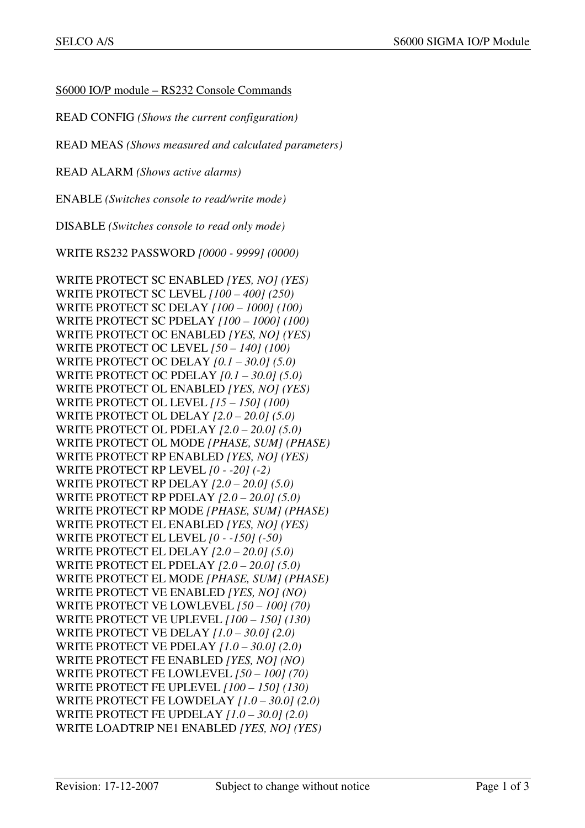S6000 IO/P module – RS232 Console Commands

READ CONFIG *(Shows the current configuration)*

READ MEAS *(Shows measured and calculated parameters)* 

READ ALARM *(Shows active alarms)* 

ENABLE *(Switches console to read/write mode)* 

DISABLE *(Switches console to read only mode)* 

WRITE RS232 PASSWORD *[0000 - 9999] (0000)*

WRITE PROTECT SC ENABLED *[YES, NO] (YES)*  WRITE PROTECT SC LEVEL *[100 – 400] (250)*  WRITE PROTECT SC DELAY *[100 – 1000] (100)*  WRITE PROTECT SC PDELAY *[100 – 1000] (100)*  WRITE PROTECT OC ENABLED *[YES, NO] (YES)*  WRITE PROTECT OC LEVEL *[50 – 140] (100)*  WRITE PROTECT OC DELAY *[0.1 – 30.0] (5.0)*  WRITE PROTECT OC PDELAY *[0.1 – 30.0] (5.0)*  WRITE PROTECT OL ENABLED *[YES, NO] (YES)*  WRITE PROTECT OL LEVEL *[15 – 150] (100)*  WRITE PROTECT OL DELAY *[2.0 – 20.0] (5.0)*  WRITE PROTECT OL PDELAY *[2.0 – 20.0] (5.0)*  WRITE PROTECT OL MODE *[PHASE, SUM] (PHASE)*  WRITE PROTECT RP ENABLED *[YES, NO] (YES)*  WRITE PROTECT RP LEVEL *[0 - -20] (-2)*  WRITE PROTECT RP DELAY *[2.0 – 20.0] (5.0)*  WRITE PROTECT RP PDELAY *[2.0 – 20.0] (5.0)*  WRITE PROTECT RP MODE *[PHASE, SUM] (PHASE)* WRITE PROTECT EL ENABLED *[YES, NO] (YES)*  WRITE PROTECT EL LEVEL *[0 - -150] (-50)*  WRITE PROTECT EL DELAY *[2.0 – 20.0] (5.0)*  WRITE PROTECT EL PDELAY *[2.0 – 20.0] (5.0)*  WRITE PROTECT EL MODE *[PHASE, SUM] (PHASE)*  WRITE PROTECT VE ENABLED *[YES, NO] (NO)*  WRITE PROTECT VE LOWLEVEL *[50 – 100] (70)*  WRITE PROTECT VE UPLEVEL *[100 – 150] (130)*  WRITE PROTECT VE DELAY *[1.0 – 30.0] (2.0)*  WRITE PROTECT VE PDELAY *[1.0 – 30.0] (2.0)*  WRITE PROTECT FE ENABLED *[YES, NO] (NO)*  WRITE PROTECT FE LOWLEVEL *[50 – 100] (70)*  WRITE PROTECT FE UPLEVEL *[100 – 150] (130)*  WRITE PROTECT FE LOWDELAY *[1.0 – 30.0] (2.0)*  WRITE PROTECT FE UPDELAY *[1.0 – 30.0] (2.0)*  WRITE LOADTRIP NE1 ENABLED *[YES, NO] (YES)*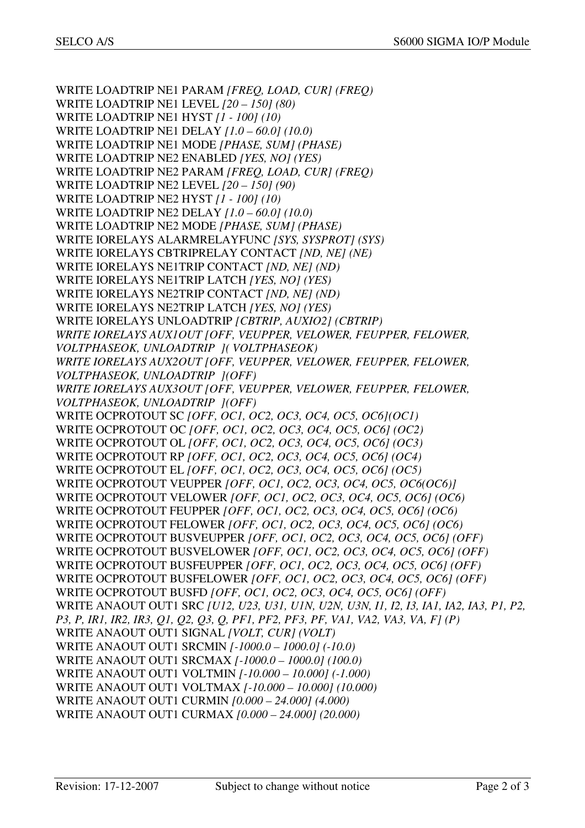WRITE LOADTRIP NE1 PARAM *[FREQ, LOAD, CUR] (FREQ)* WRITE LOADTRIP NE1 LEVEL *[20 – 150] (80)*  WRITE LOADTRIP NE1 HYST *[1 - 100] (10)* WRITE LOADTRIP NE1 DELAY *[1.0 – 60.0] (10.0)*  WRITE LOADTRIP NE1 MODE *[PHASE, SUM] (PHASE)*  WRITE LOADTRIP NE2 ENABLED *[YES, NO] (YES)*  WRITE LOADTRIP NE2 PARAM *[FREQ, LOAD, CUR] (FREQ)* WRITE LOADTRIP NE2 LEVEL *[20 – 150] (90)*  WRITE LOADTRIP NE2 HYST *[1 - 100] (10)* WRITE LOADTRIP NE2 DELAY *[1.0 – 60.0] (10.0)*  WRITE LOADTRIP NE2 MODE *[PHASE, SUM] (PHASE)*  WRITE IORELAYS ALARMRELAYFUNC *[SYS, SYSPROT] (SYS)* WRITE IORELAYS CBTRIPRELAY CONTACT *[ND, NE] (NE)*  WRITE IORELAYS NE1TRIP CONTACT *[ND, NE] (ND)*  WRITE IORELAYS NE1TRIP LATCH *[YES, NO] (YES)*  WRITE IORELAYS NE2TRIP CONTACT *[ND, NE] (ND)*  WRITE IORELAYS NE2TRIP LATCH *[YES, NO] (YES)*  WRITE IORELAYS UNLOADTRIP *[CBTRIP, AUXIO2] (CBTRIP) WRITE IORELAYS AUX1OUT [OFF, VEUPPER, VELOWER, FEUPPER, FELOWER, VOLTPHASEOK, UNLOADTRIP ]( VOLTPHASEOK) WRITE IORELAYS AUX2OUT [OFF, VEUPPER, VELOWER, FEUPPER, FELOWER, VOLTPHASEOK, UNLOADTRIP ](OFF) WRITE IORELAYS AUX3OUT [OFF, VEUPPER, VELOWER, FEUPPER, FELOWER, VOLTPHASEOK, UNLOADTRIP ](OFF)*  WRITE OCPROTOUT SC *[OFF, OC1, OC2, OC3, OC4, OC5, OC6](OC1)*  WRITE OCPROTOUT OC *[OFF, OC1, OC2, OC3, OC4, OC5, OC6] (OC2)* WRITE OCPROTOUT OL *[OFF, OC1, OC2, OC3, OC4, OC5, OC6] (OC3)*  WRITE OCPROTOUT RP *[OFF, OC1, OC2, OC3, OC4, OC5, OC6] (OC4)*  WRITE OCPROTOUT EL *[OFF, OC1, OC2, OC3, OC4, OC5, OC6] (OC5)* WRITE OCPROTOUT VEUPPER *[OFF, OC1, OC2, OC3, OC4, OC5, OC6(OC6)]* WRITE OCPROTOUT VELOWER *[OFF, OC1, OC2, OC3, OC4, OC5, OC6] (OC6)* WRITE OCPROTOUT FEUPPER *[OFF, OC1, OC2, OC3, OC4, OC5, OC6] (OC6)* WRITE OCPROTOUT FELOWER *[OFF, OC1, OC2, OC3, OC4, OC5, OC6] (OC6)* WRITE OCPROTOUT BUSVEUPPER *[OFF, OC1, OC2, OC3, OC4, OC5, OC6] (OFF)* WRITE OCPROTOUT BUSVELOWER *[OFF, OC1, OC2, OC3, OC4, OC5, OC6] (OFF)* WRITE OCPROTOUT BUSFEUPPER *[OFF, OC1, OC2, OC3, OC4, OC5, OC6] (OFF)* WRITE OCPROTOUT BUSFELOWER *[OFF, OC1, OC2, OC3, OC4, OC5, OC6] (OFF)* WRITE OCPROTOUT BUSFD *[OFF, OC1, OC2, OC3, OC4, OC5, OC6] (OFF)* WRITE ANAOUT OUT1 SRC *[U12, U23, U31, U1N, U2N, U3N, I1, I2, I3, IA1, IA2, IA3, P1, P2, P3, P, IR1, IR2, IR3, Q1, Q2, Q3, Q, PF1, PF2, PF3, PF, VA1, VA2, VA3, VA, F] (P)*  WRITE ANAOUT OUT1 SIGNAL *[VOLT, CUR] (VOLT)*  WRITE ANAOUT OUT1 SRCMIN *[-1000.0 – 1000.0] (-10.0)*  WRITE ANAOUT OUT1 SRCMAX *[-1000.0 – 1000.0] (100.0)*  WRITE ANAOUT OUT1 VOLTMIN *[-10.000 – 10.000] (-1.000)*  WRITE ANAOUT OUT1 VOLTMAX *[-10.000 – 10.000] (10.000)*  WRITE ANAOUT OUT1 CURMIN *[0.000 – 24.000] (4.000)*  WRITE ANAOUT OUT1 CURMAX *[0.000 – 24.000] (20.000)*